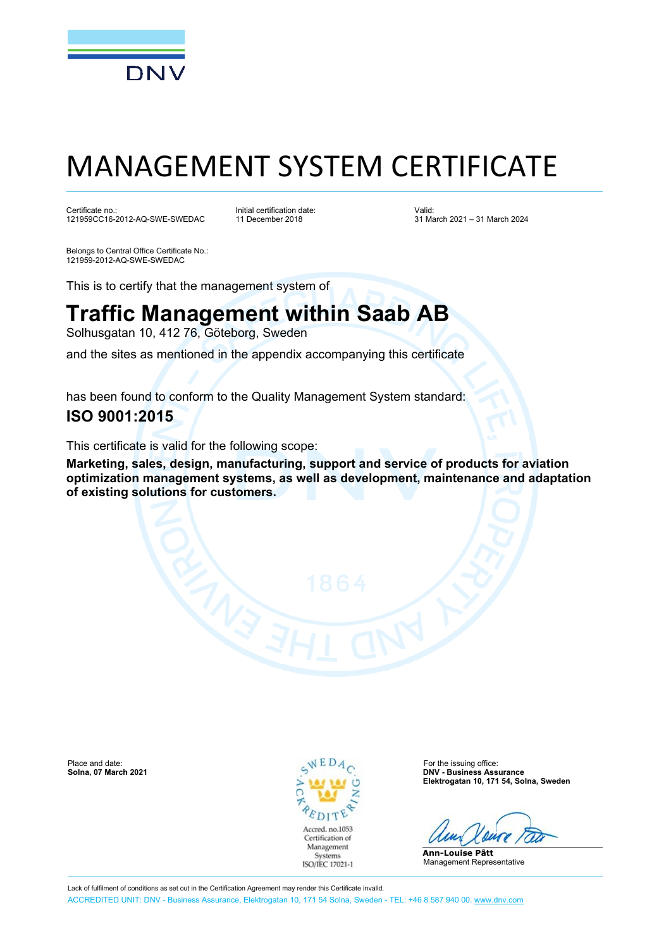

# MANAGEMENT SYSTEM CERTIFICATE

Certificate no.: 121959CC16-2012-AQ-SWE-SWEDAC Initial certification date: 11 December 2018

Valid: 31 March 2021 – 31 March 2024

Belongs to Central Office Certificate No.: 121959-2012-AQ-SWE-SWEDAC

This is to certify that the management system of

## **Traffic Management within Saab AB**

Solhusgatan 10, 412 76, Göteborg, Sweden

and the sites as mentioned in the appendix accompanying this certificate

has been found to conform to the Quality Management System standard:

### **ISO 9001:2015**

This certificate is valid for the following scope:

**Marketing, sales, design, manufacturing, support and service of products for aviation optimization management systems, as well as development, maintenance and adaptation of existing solutions for customers.**

Place and date: For the issuing office:<br>
Solna, 07 March 2021 C Bolna, 07 March 2021



**Solna, 07 March 2021 DNV - Business Assurance Elektrogatan 10, 171 54, Solna, Sweden**

**Ann-Louise Pått** Management Representative